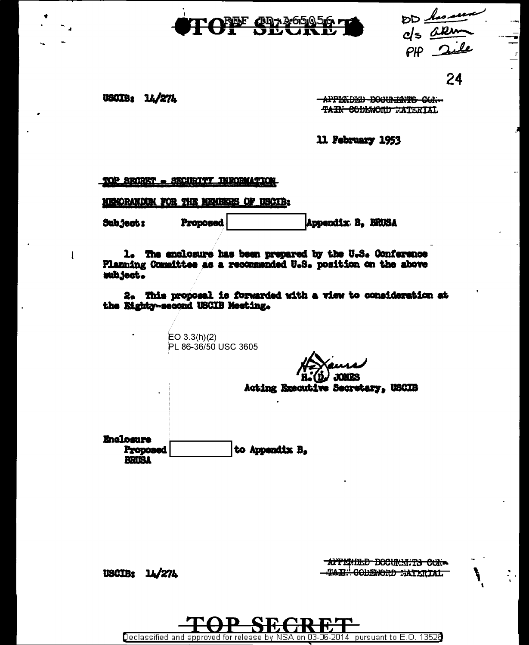



24

**USCIB: 14/274** 

ł

-APPERDED-DOCUMERTS CON-TAIN CODEWORD WATERIAL

11 February 1953

TOP SECRET - SECURITY INFORMATION

MENORANDOM FOR THE MEMBERS OF USCIB:

Subject: **Proposed** Appendix B. BROSA

1. The enclosure has been prepared by the U.S. Conference Planning Committee as a recommended U.S. position on the above wibject.

2. This proposal is forwarded with a view to consideration at the Eighty-second USCIB Meeting.

 $EO 3.3(h)(2)$ PL 86-36/50 USC 3605 **JONES** Acting Executive Secretary, USCIB **Enclosure** to Appendix B. Proposed **BRIEL** 

AFFEMILD DOCUMENTS CON--TAIL: CODEWORD MATERIAL

USCIB: 14/274

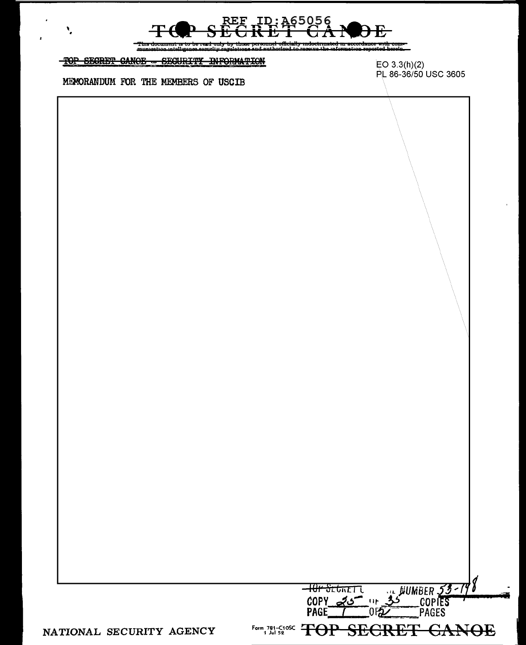

r<del>com –</del><br>Iorain

TOP SECRET CANOE - SECURITY INFORMATION

MEMORANDUM FOR THE MEMBERS OF USCIB

 $\overline{\phantom{a}}$ 

 $EO 3.3(h)(2)$ PL 86-36/50 USC 3605

| <del>᠆ᡰᢗᡰᡟ᠊ᡈᡄ</del> ᡰᢛ᠋ᡣ᠋ᠸ<br>… BUMBER 53- |
|--------------------------------------------|
| <b>COPY</b>                                |
| PAGFS                                      |
| Form, 781-C108C TOP SECRET GANOE           |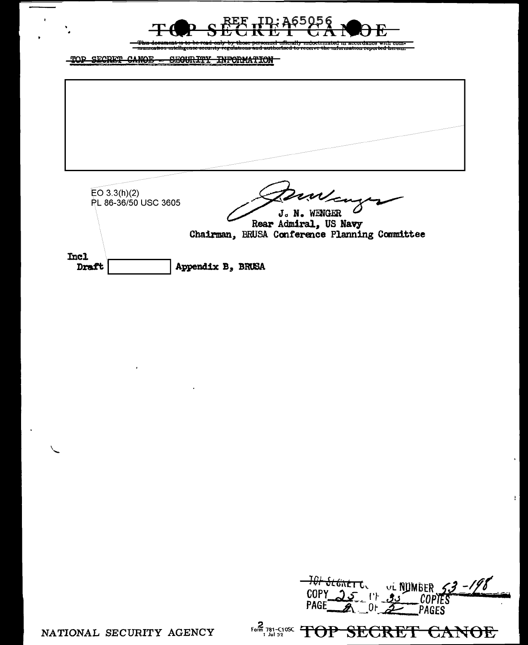

TOP SECRET CANOE -SEQURITY INFORMATION



| OLGAET C. VL NUMBER<br>$\mathbb{P}^1$ $\mathbb{P}^1$ $\mathbb{R}$<br>$2$ PAGES |
|--------------------------------------------------------------------------------|
| Form 781-C10SC<br><b>AQE</b><br>TOP SECRET CAN                                 |

 $\mathbf{r}$ 

NATIONAL SECURITY AGENCY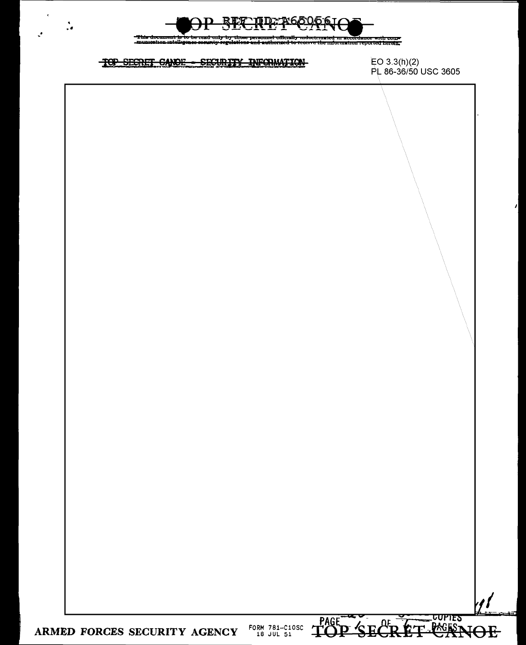

mdoctrmated in accordance with come<br>receive the mformation reported herein.

# TOP SECRET CANOE - SECURITY INFORMATION

 $\epsilon$ 

 $\ddot{\cdot}$ 

EO 3.3(h)(2)<br>PL 86-36/50 USC 3605

 $\overline{\phantom{a}}$ 



ARMED FORCES SECURITY AGENCY  $^{F0RM}_{18}$   $^{781-0105C}_{310}$   $^{761}$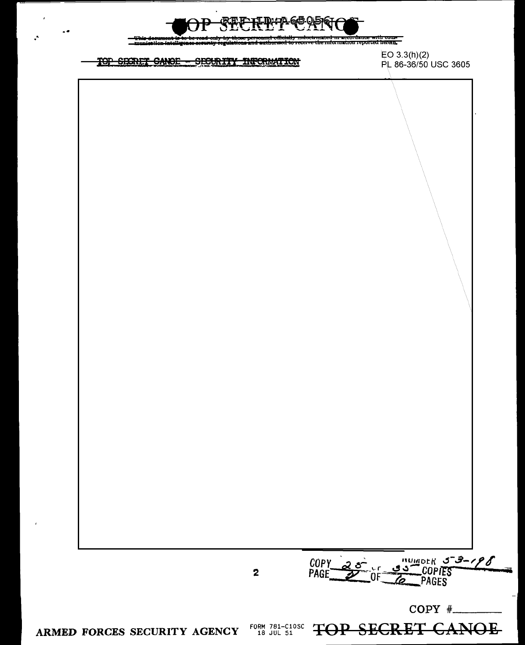

ed <del>m accordance with com-</del><br>mformation reported herein. 33

### TOP SEXTET CANOE - SECURITY INFORMATION

 $\overline{a}$ 

 $EO 3.3(h)(2)$ PL 86-36/50 USC 3605

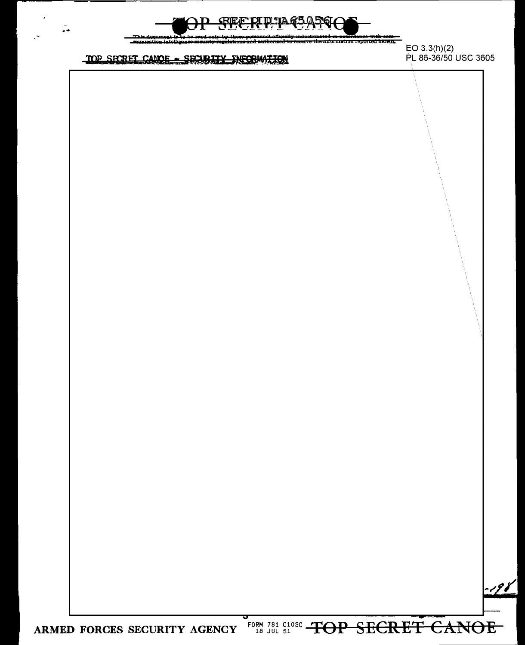

 $\ddot{\bullet}$ 



<del>: accordance with com-</del><br>mation reported herein,

## TOP SEERET CANOE - SEEBILY INFORMATION

 $EO 3.3(h)(2)$ PL 86-36/50 USC 3605



FORM 781-C10sc TOP SECRET CANOE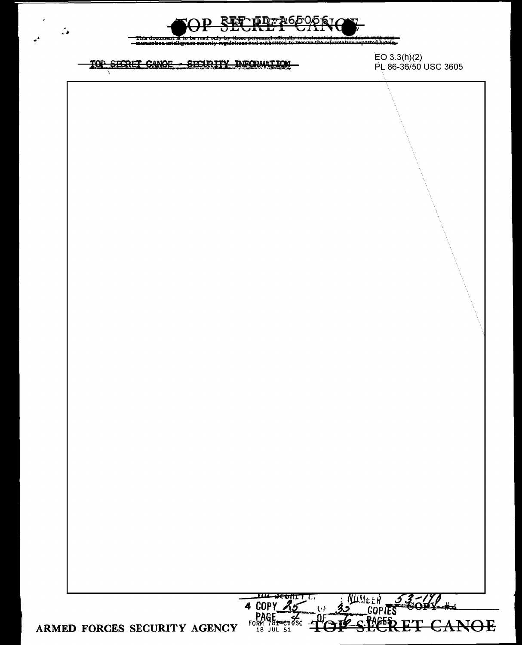



. . . . <del>: With *s*om ...</del><br>stod horoin ...

## TOP SECRET CANOE - SECURITY INFORMATION

EO 3.3(h)(2) PL 86-36/50 USC 3605

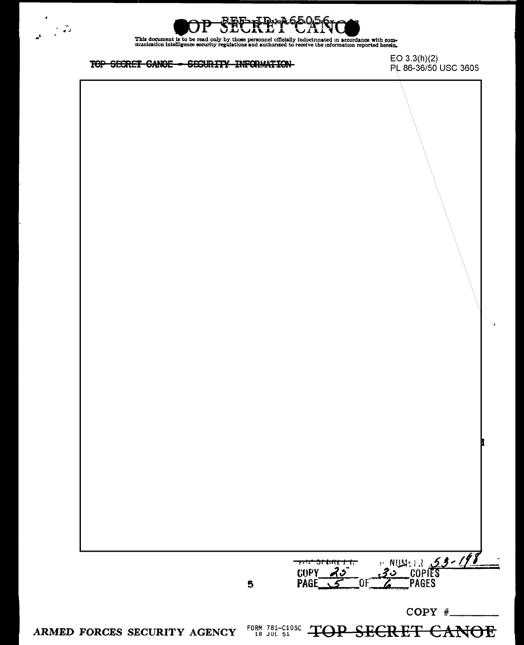



This document is to be read only by those personnel officially indoctrinated in accordance with com-<br>munication intelligence security regulations and authorized to receive the information reported herein.

### TOP SECRET CANOE - SECURITY INFORMATION

 $EO 3.3(h)(2)$ PL 86-36/50 USC 3605



COPY  $#$ 

ARMED FORCES SECURITY AGENCY FORM 781-C10SC TOP SECRET CANOE